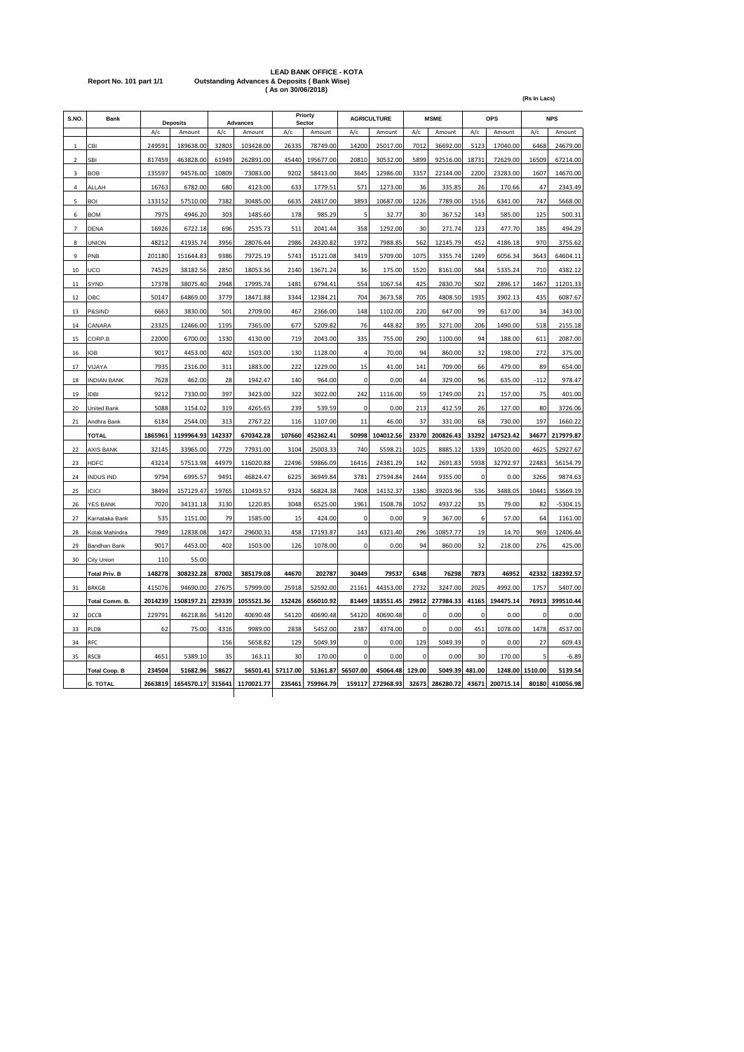# **LEAD BANK OFFICE - KOTA Report No. 101 part 1/1 Outstanding Advances & Deposits ( Bank Wise) ( As on 30/06/2018)**

| S.NO.                   | Bank<br><b>Deposits</b> |         |            | <b>Advances</b>  |            | Priorty<br>Sector |           | <b>AGRICULTURE</b> |           | <b>MSME</b> |           | OPS      | <b>NPS</b> |             |            |
|-------------------------|-------------------------|---------|------------|------------------|------------|-------------------|-----------|--------------------|-----------|-------------|-----------|----------|------------|-------------|------------|
|                         |                         | A/c     | Amount     | A/c              | Amount     | A/c               | Amount    | A/c                | Amount    | A/c         | Amount    | A/c      | Amount     | A/c         | Amount     |
| $\mathbf 1$             | CBI                     | 249591  | 189638.00  | 32803            | 103428.00  | 26335             | 78749.00  | 14200              | 25017.00  | 7012        | 36692.00  | 5123     | 17040.00   | 6468        | 24679.00   |
| $\overline{\mathbf{c}}$ | SBI                     | 817459  | 463828.00  | 61949            | 262891.00  | 45440             | 195677.00 | 20810              | 30532.00  | 5899        | 92516.00  | 18731    | 72629.00   | 16509       | 67214.00   |
| $\overline{\mathbf{3}}$ | <b>BOB</b>              | 135597  | 94576.00   | 10809            | 73083.00   | 9202              | 58413.00  | 3645               | 12986.00  | 3357        | 22144.00  | 2200     | 23283.00   | 1607        | 14670.00   |
| $\Delta$                | ALLAH                   | 16763   | 6782.00    | 680              | 4123.00    | 633               | 1779.51   | 571                | 1273.00   | 36          | 335.85    | 26       | 170.66     | 47          | 2343.49    |
| 5                       | <b>BOI</b>              | 133152  | 57510.00   | 7382             | 30485.00   | 6635              | 24817.00  | 3893               | 10687.00  | 1226        | 7789.00   | 1516     | 6341.00    | 747         | 5668.00    |
| 6                       | <b>BOM</b>              | 7975    | 4946.20    | 303              | 1485.60    | 178               | 985.29    | 5                  | 32.77     | 30          | 367.52    | 143      | 585.00     | 125         | 500.31     |
| $\overline{7}$          | <b>DENA</b>             | 16926   | 6722.18    | 696              | 2535.73    | 511               | 2041.44   | 358                | 1292.00   | 30          | 271.74    | 123      | 477.70     | 185         | 494.29     |
| 8                       | <b>JNION</b>            | 48212   | 41935.74   | 3956             | 28076.44   | 2986              | 24320.82  | 1972               | 7988.85   | 562         | 12145.79  | 452      | 4186.18    | 970         | 3755.62    |
| 9                       | PNB                     | 201180  | 151644.83  | 9386             | 79725.19   | 5743              | 15121.08  | 3419               | 5709.00   | 1075        | 3355.74   | 1249     | 6056.34    | 3643        | 64604.11   |
| 10                      | UCO                     | 74529   | 38182.56   | 2850             | 18053.36   | 2140              | 13671.24  | 36                 | 175.00    | 1520        | 8161.00   | 584      | 5335.24    | 710         | 4382.12    |
| 11                      | SYND                    | 17378   | 38075.40   | 2948             | 17995.74   | 1481              | 6794.41   | 554                | 1067.54   | 425         | 2830.70   | 502      | 2896.17    | 1467        | 11201.33   |
| 12                      | OBC                     | 50147   | 64869.00   | 377 <sup>c</sup> | 18471.88   | 3344              | 12384.21  | 704                | 3673.58   | 705         | 4808.50   | 1935     | 3902.13    | 435         | 6087.67    |
| 13                      | P&SIND                  | 6663    | 3830.00    | 501              | 2709.00    | 467               | 2366.00   | 148                | 1102.00   | 220         | 647.00    | 99       | 617.00     | 34          | 343.00     |
| 14                      | CANARA                  | 23325   | 12466.00   | 1195             | 7365.00    | 677               | 5209.82   | 76                 | 448.82    | 395         | 3271.00   | 206      | 1490.00    | 518         | 2155.18    |
| 15                      | CORP.B                  | 22000   | 6700.00    | 1330             | 4130.00    | 719               | 2043.00   | 335                | 755.00    | 290         | 1100.00   | 94       | 188.00     | 611         | 2087.00    |
| 16                      | OB                      | 9017    | 4453.00    | 402              | 1503.00    | 130               | 1128.00   | $\overline{a}$     | 70.00     | 94          | 860.00    | 32       | 198.00     | 272         | 375.00     |
| 17                      | VIJAYA                  | 7935    | 2316.00    | 311              | 1883.00    | 222               | 1229.00   | 15                 | 41.00     | 141         | 709.00    | 66       | 479.00     | 89          | 654.00     |
| 18                      | <b>INDIAN BANK</b>      | 7628    | 462.00     | 28               | 1942.47    | 140               | 964.00    | $\mathbf 0$        | 0.00      | 44          | 329.00    | 96       | 635.00     | $-112$      | 978.47     |
| 19                      | DBI                     | 9212    | 7330.00    | 397              | 3423.00    | 322               | 3022.00   | 242                | 1116.00   | 59          | 1749.00   | 21       | 157.00     | 75          | 401.00     |
| 20                      | United Bank             | 5088    | 1154.02    | 319              | 4265.65    | 239               | 539.59    | 0                  | 0.00      | 213         | 412.59    | 26       | 127.00     | 80          | 3726.06    |
| 21                      | Andhra Bank             | 6184    | 2544.00    | 313              | 2767.22    | 116               | 1107.00   | 11                 | 46.00     | 37          | 331.00    | 68       | 730.00     | 197         | 1660.22    |
|                         | <b>TOTAL</b>            | 1865961 | 1199964.93 | 142337           | 670342.28  | 107660            | 452362.41 | 50998              | 104012.56 | 23370       | 200826.43 | 33292    | 147523.42  | 34677       | 217979.87  |
| 22                      | <b>AXIS BANK</b>        | 32145   | 33965.00   | 7729             | 77931.00   | 3104              | 25003.33  | 740                | 5598.21   | 1025        | 8885.12   | 1339     | 10520.00   | 4625        | 52927.67   |
| 23                      | <b>HDFC</b>             | 43214   | 57513.98   | 44979            | 116020.88  | 22496             | 59866.09  | 16416              | 24381.29  | 142         | 2691.83   | 5938     | 32792.97   | 22483       | 56154.79   |
| 24                      | <b>INDUS IND</b>        | 9794    | 6995.57    | 9491             | 46824.47   | 6225              | 36949.84  | 3781               | 27594.84  | 2444        | 9355.00   | $\Omega$ | 0.00       | 3266        | 9874.63    |
| 25                      | <b>ICICI</b>            | 38494   | 157129.47  | 19765            | 110493.57  | 9324              | 56824.38  | 7408               | 14132.37  | 1380        | 39203.96  | 536      | 3488.05    | 10441       | 53669.19   |
| 26                      | <b>YES BANK</b>         | 7020    | 34131.18   | 3130             | 1220.85    | 3048              | 6525.00   | 1961               | 1508.78   | 1052        | 4937.22   | 35       | 79.00      | 82          | $-5304.15$ |
| 27                      | Karnataka Bank          | 535     | 1151.00    | 79               | 1585.00    | 15                | 424.00    | 0                  | 0.00      | 9           | 367.00    | 6        | 57.00      | 64          | 1161.00    |
| 28                      | Kotak Mahindra          | 7949    | 12838.08   | 1427             | 29600.31   | 458               | 17193.87  | 143                | 6321.40   | 296         | 10857.77  | 19       | 14.70      | 969         | 12406.44   |
| 29                      | Bandhan Bank            | 9017    | 4453.00    | 402              | 1503.00    | 126               | 1078.00   | 0                  | 0.00      | 94          | 860.00    | 32       | 218.00     | 276         | 425.00     |
| 30                      | City Union              | 110     | 55.00      |                  |            |                   |           |                    |           |             |           |          |            |             |            |
|                         | <b>Total Priv. B</b>    | 148278  | 308232.28  | 87002            | 385179.08  | 44670             | 202787    | 30449              | 79537     | 6348        | 76298     | 7873     | 46952      | 42332       | 182392.57  |
| 31                      | <b>BRKGB</b>            | 415076  | 94690.00   | 27675            | 57999.00   | 25918             | 52592.00  | 21161              | 44353.00  | 2732        | 3247.00   | 2025     | 4992.00    | 1757        | 5407.00    |
|                         | Total Comm. B.          | 2014239 | 1508197.21 | 229339           | 1055521.36 | 152426            | 656010.92 | 81449              | 183551.45 | 29812       | 277984.33 | 41165    | 194475.14  | 76913       | 399510.44  |
| 32                      | DCCB                    | 229791  | 46218.86   | 54120            | 40690.48   | 54120             | 40690.48  | 54120              | 40690.48  | $\Omega$    | 0.00      | $\Omega$ | 0.00       | $\mathbf 0$ | 0.00       |
| 33                      | PLDB                    | 62      | 75.00      | 4316             | 9989.00    | 2838              | 5452.00   | 2387               | 4374.00   | 0           | 0.00      | 451      | 1078.00    | 1478        | 4537.00    |
| 34                      | <b>RFC</b>              |         |            | 156              | 5658.82    | 129               | 5049.39   | $\mathbf 0$        | 0.00      | 129         | 5049.39   | $\Omega$ | 0.00       | 27          | 609.43     |
| 35                      | <b>RSCB</b>             | 4651    | 5389.10    | 35               | 163.11     | 30                | 170.00    | 0                  | 0.00      | $\Omega$    | 0.00      | 30       | 170.00     | 5           | $-6.89$    |
|                         | <b>Total Coop. B</b>    | 234504  | 51682.96   | 58627            | 56501.41   | 57117.00          | 51361.87  | 56507.00           | 45064.48  | 129.00      | 5049.39   | 481.00   | 1248.00    | 1510.00     | 5139.54    |
|                         | <b>G. TOTAL</b>         | 2663819 | 1654570.17 | 315641           | 1170021.77 | 235461            | 759964.79 | 159117             | 272968.93 | 32673       | 286280.72 | 43671    | 200715.14  | 80180       | 410056.98  |

**(Rs In Lacs)**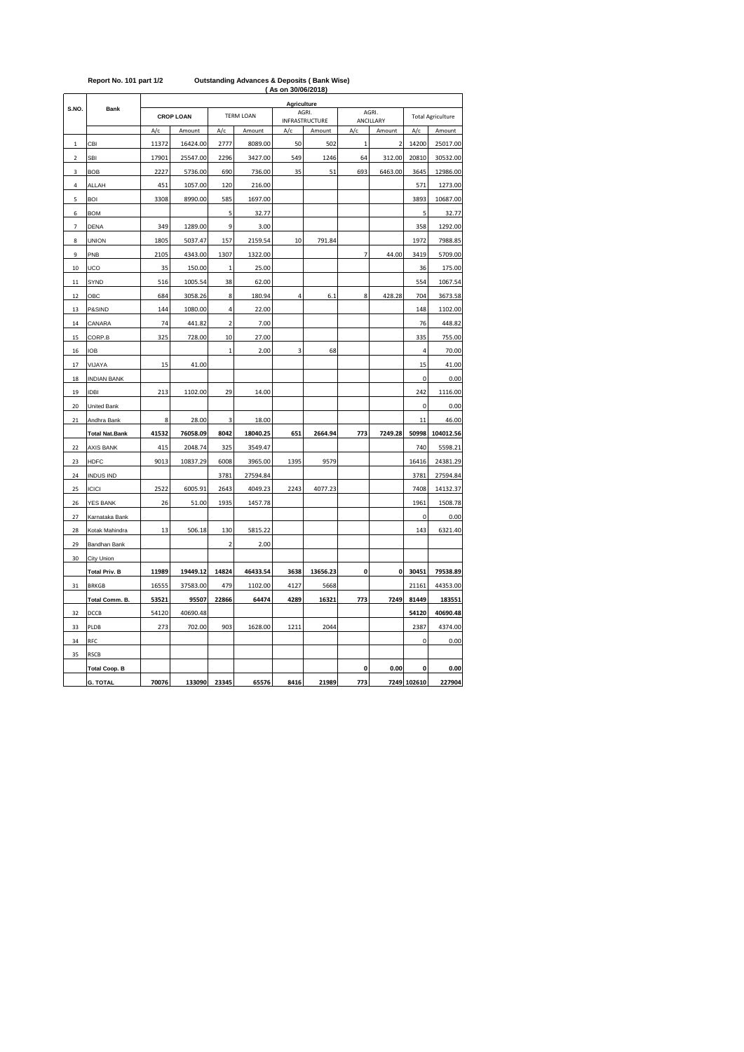|                         |                       | ( As on 30/06/2018) |          |                          |          |             |                                |                |                          |                |                          |  |  |  |
|-------------------------|-----------------------|---------------------|----------|--------------------------|----------|-------------|--------------------------------|----------------|--------------------------|----------------|--------------------------|--|--|--|
| S.NO.                   |                       |                     |          |                          |          | Agriculture |                                |                |                          |                |                          |  |  |  |
|                         | <b>Bank</b>           | <b>CROP LOAN</b>    |          | <b>TERM LOAN</b>         |          |             | AGRI.<br><b>INFRASTRUCTURE</b> |                | AGRI.<br>ANCILLARY       |                | <b>Total Agriculture</b> |  |  |  |
|                         |                       | A/c                 | Amount   | A/c                      | Amount   | A/c         | Amount                         | A/c            | Amount                   | A/c            | Amount                   |  |  |  |
| $\mathbf 1$             | CBI                   | 11372               | 16424.00 | 2777                     | 8089.00  | 50          | 502                            | $\mathbf{1}$   | $\overline{\phantom{a}}$ | 14200          | 25017.00                 |  |  |  |
| $\overline{\mathbf{c}}$ | <b>SBI</b>            | 17901               | 25547.00 | 2296                     | 3427.00  | 549         | 1246                           | 64             | 312.00                   | 20810          | 30532.00                 |  |  |  |
| 3                       | <b>BOB</b>            | 2227                | 5736.00  | 690                      | 736.00   | 35          | 51                             | 693            | 6463.00                  | 3645           | 12986.00                 |  |  |  |
| 4                       | ALLAH                 | 451                 | 1057.00  | 120                      | 216.00   |             |                                |                |                          | 571            | 1273.00                  |  |  |  |
| 5                       | <b>BOI</b>            | 3308                | 8990.00  | 585                      | 1697.00  |             |                                |                |                          | 3893           | 10687.00                 |  |  |  |
| 6                       | <b>BOM</b>            |                     |          | 5                        | 32.77    |             |                                |                |                          | 5              | 32.77                    |  |  |  |
| 7                       | <b>DENA</b>           | 349                 | 1289.00  | 9                        | 3.00     |             |                                |                |                          | 358            | 1292.00                  |  |  |  |
| 8                       | <b>UNION</b>          | 1805                | 5037.47  | 157                      | 2159.54  | 10          | 791.84                         |                |                          | 1972           | 7988.85                  |  |  |  |
| 9                       | PNB                   | 2105                | 4343.00  | 1307                     | 1322.00  |             |                                | $\overline{7}$ | 44.00                    | 3419           | 5709.00                  |  |  |  |
| 10                      | UCO                   | 35                  | 150.00   | $\mathbf{1}$             | 25.00    |             |                                |                |                          | 36             | 175.00                   |  |  |  |
| 11                      | SYND                  | 516                 | 1005.54  | 38                       | 62.00    |             |                                |                |                          | 554            | 1067.54                  |  |  |  |
| 12                      | ОВС                   | 684                 | 3058.26  | 8                        | 180.94   | 4           | 6.1                            | 8              | 428.28                   | 704            | 3673.58                  |  |  |  |
| 13                      | P&SIND                | 144                 | 1080.00  | 4                        | 22.00    |             |                                |                |                          | 148            | 1102.00                  |  |  |  |
| 14                      | CANARA                | 74                  | 441.82   | $\mathbf 2$              | 7.00     |             |                                |                |                          | 76             | 448.82                   |  |  |  |
| 15                      | CORP.B                | 325                 | 728.00   | 10                       | 27.00    |             |                                |                |                          | 335            | 755.00                   |  |  |  |
| 16                      | <b>IOB</b>            |                     |          | $\mathbf{1}$             | 2.00     | 3           | 68                             |                |                          | $\overline{4}$ | 70.00                    |  |  |  |
| 17                      | VIJAYA                | 15                  | 41.00    |                          |          |             |                                |                |                          | 15             | 41.00                    |  |  |  |
| 18                      | <b>INDIAN BANK</b>    |                     |          |                          |          |             |                                |                |                          | $\mathbf 0$    | 0.00                     |  |  |  |
| 19                      | <b>IDBI</b>           | 213                 | 1102.00  | 29                       | 14.00    |             |                                |                |                          | 242            | 1116.00                  |  |  |  |
| 20                      | United Bank           |                     |          |                          |          |             |                                |                |                          | $\pmb{0}$      | 0.00                     |  |  |  |
| 21                      | Andhra Bank           | 8                   | 28.00    | 3                        | 18.00    |             |                                |                |                          | 11             | 46.00                    |  |  |  |
|                         | <b>Total Nat.Bank</b> | 41532               | 76058.09 | 8042                     | 18040.25 | 651         | 2664.94                        | 773            | 7249.28                  | 50998          | 104012.56                |  |  |  |
| 22                      | <b>AXIS BANK</b>      | 415                 | 2048.74  | 325                      | 3549.47  |             |                                |                |                          | 740            | 5598.21                  |  |  |  |
| 23                      | <b>HDFC</b>           | 9013                | 10837.29 | 6008                     | 3965.00  | 1395        | 9579                           |                |                          | 16416          | 24381.29                 |  |  |  |
| 24                      | <b>INDUS IND</b>      |                     |          | 3781                     | 27594.84 |             |                                |                |                          | 3781           | 27594.84                 |  |  |  |
| 25                      | ICICI                 | 2522                | 6005.91  | 2643                     | 4049.23  | 2243        | 4077.23                        |                |                          | 7408           | 14132.37                 |  |  |  |
| 26                      | YES BANK              | 26                  | 51.00    | 1935                     | 1457.78  |             |                                |                |                          | 1961           | 1508.78                  |  |  |  |
| 27                      | Karnataka Bank        |                     |          |                          |          |             |                                |                |                          | 0              | 0.00                     |  |  |  |
| 28                      | Kotak Mahindra        | 13                  | 506.18   | 130                      | 5815.22  |             |                                |                |                          | 143            | 6321.40                  |  |  |  |
| 29                      | Bandhan Bank          |                     |          | $\overline{\phantom{a}}$ | 2.00     |             |                                |                |                          |                |                          |  |  |  |
| 30                      | City Union            |                     |          |                          |          |             |                                |                |                          |                |                          |  |  |  |
|                         | <b>Total Priv. B</b>  | 11989               | 19449.12 | 14824                    | 46433.54 | 3638        | 13656.23                       | 0              | $\pmb{0}$                | 30451          | 79538.89                 |  |  |  |
| 31                      | <b>BRKGB</b>          | 16555               | 37583.00 | 479                      | 1102.00  | 4127        | 5668                           |                |                          | 21161          | 44353.00                 |  |  |  |
|                         | Total Comm. B.        | 53521               | 95507    | 22866                    | 64474    | 4289        | 16321                          | 773            | 7249                     | 81449          | 183551                   |  |  |  |
| 32                      | DCCB                  | 54120               | 40690.48 |                          |          |             |                                |                |                          | 54120          | 40690.48                 |  |  |  |
| 33                      | PLDB                  | 273                 | 702.00   | 903                      | 1628.00  | 1211        | 2044                           |                |                          | 2387           | 4374.00                  |  |  |  |
| 34                      | RFC                   |                     |          |                          |          |             |                                |                |                          | 0              | 0.00                     |  |  |  |
| 35                      | <b>RSCB</b>           |                     |          |                          |          |             |                                |                |                          |                |                          |  |  |  |
|                         | <b>Total Coop. B</b>  |                     |          |                          |          |             |                                | 0              | 0.00                     | 0              | 0.00                     |  |  |  |
|                         | <b>G. TOTAL</b>       | 70076               | 133090   | 23345                    | 65576    | 8416        | 21989                          | 773            |                          | 7249 102610    | 227904                   |  |  |  |

### **Report No. 101 part 1/2 Outstanding Advances & Deposits ( Bank Wise)**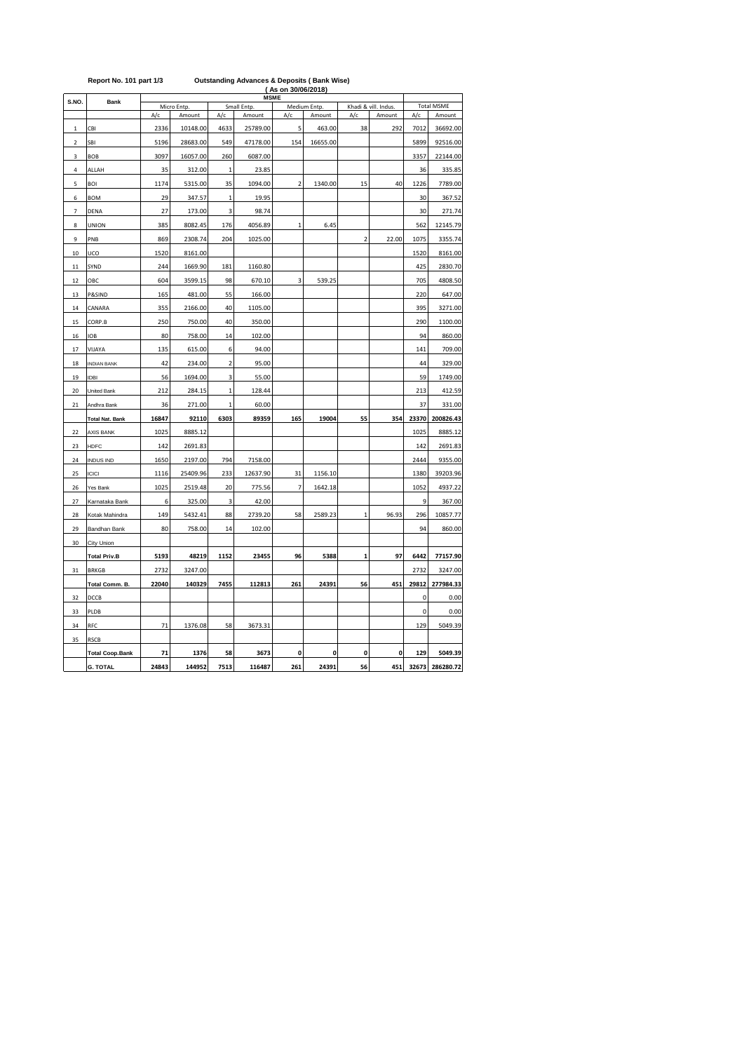|             | $1.6$ point not not paint the<br>ouwanang Aavanooo<br>a poposno i panu mooj<br>(As on 30/06/2018)<br><b>MSME</b> |       |             |              |             |                |              |                |                      |                   |                 |  |  |  |
|-------------|------------------------------------------------------------------------------------------------------------------|-------|-------------|--------------|-------------|----------------|--------------|----------------|----------------------|-------------------|-----------------|--|--|--|
| S.NO.       | Bank                                                                                                             |       | Micro Entp. |              | Small Entp. |                | Medium Entp. |                | Khadi & vill. Indus. | <b>Total MSME</b> |                 |  |  |  |
|             |                                                                                                                  | A/c   | Amount      | A/c          | Amount      | A/c            | Amount       | A/c            | Amount               | A/c               | Amount          |  |  |  |
| $\mathbf 1$ | CBI                                                                                                              | 2336  | 10148.00    | 4633         | 25789.00    | 5              | 463.00       | 38             | 292                  | 7012              | 36692.00        |  |  |  |
| 2           | SBI                                                                                                              | 5196  | 28683.00    | 549          | 47178.00    | 154            | 16655.00     |                |                      | 5899              | 92516.00        |  |  |  |
| 3           | <b>BOB</b>                                                                                                       | 3097  | 16057.00    | 260          | 6087.00     |                |              |                |                      | 3357              | 22144.00        |  |  |  |
| 4           | ALLAH                                                                                                            | 35    | 312.00      | $\mathbf{1}$ | 23.85       |                |              |                |                      | 36                | 335.85          |  |  |  |
| 5           | BOI                                                                                                              | 1174  | 5315.00     | 35           | 1094.00     | $\overline{2}$ | 1340.00      | 15             | 40                   | 1226              | 7789.00         |  |  |  |
| 6           | <b>BOM</b>                                                                                                       | 29    | 347.57      | $\mathbf 1$  | 19.95       |                |              |                |                      | 30                | 367.52          |  |  |  |
| 7           | DENA                                                                                                             | 27    | 173.00      | 3            | 98.74       |                |              |                |                      | 30                | 271.74          |  |  |  |
| 8           | <b>UNION</b>                                                                                                     | 385   | 8082.45     | 176          | 4056.89     | $\,1\,$        | 6.45         |                |                      | 562               | 12145.79        |  |  |  |
| 9           | PNB                                                                                                              | 869   | 2308.74     | 204          | 1025.00     |                |              | $\overline{2}$ | 22.00                | 1075              | 3355.74         |  |  |  |
| 10          | UCO                                                                                                              | 1520  | 8161.00     |              |             |                |              |                |                      | 1520              | 8161.00         |  |  |  |
| 11          | SYND                                                                                                             | 244   | 1669.90     | 181          | 1160.80     |                |              |                |                      | 425               | 2830.70         |  |  |  |
| 12          | OBC                                                                                                              | 604   | 3599.15     | 98           | 670.10      | 3              | 539.25       |                |                      | 705               | 4808.50         |  |  |  |
| 13          | P&SIND                                                                                                           | 165   | 481.00      | 55           | 166.00      |                |              |                |                      | 220               | 647.00          |  |  |  |
| 14          | CANARA                                                                                                           | 355   | 2166.00     | 40           | 1105.00     |                |              |                |                      | 395               | 3271.00         |  |  |  |
| 15          | CORP.B                                                                                                           | 250   | 750.00      | 40           | 350.00      |                |              |                |                      | 290               | 1100.00         |  |  |  |
| 16          | <b>IOB</b>                                                                                                       | 80    | 758.00      | 14           | 102.00      |                |              |                |                      | 94                | 860.00          |  |  |  |
| 17          | VIJAYA                                                                                                           | 135   | 615.00      | 6            | 94.00       |                |              |                |                      | 141               | 709.00          |  |  |  |
| 18          | <b>INDIAN BANK</b>                                                                                               | 42    | 234.00      | $\mathbf 2$  | 95.00       |                |              |                |                      | 44                | 329.00          |  |  |  |
| 19          | <b>IDBI</b>                                                                                                      | 56    | 1694.00     | 3            | 55.00       |                |              |                |                      | 59                | 1749.00         |  |  |  |
| 20          | United Bank                                                                                                      | 212   | 284.15      | $\mathbf{1}$ | 128.44      |                |              |                |                      | 213               | 412.59          |  |  |  |
| 21          | Andhra Bank                                                                                                      | 36    | 271.00      | $\mathbf{1}$ | 60.00       |                |              |                |                      | 37                | 331.00          |  |  |  |
|             | <b>Total Nat. Bank</b>                                                                                           | 16847 | 92110       | 6303         | 89359       | 165            | 19004        | 55             | 354                  | 23370             | 200826.43       |  |  |  |
| 22          | <b>AXIS BANK</b>                                                                                                 | 1025  | 8885.12     |              |             |                |              |                |                      | 1025              | 8885.12         |  |  |  |
| 23          | HDFC                                                                                                             | 142   | 2691.83     |              |             |                |              |                |                      | 142               | 2691.83         |  |  |  |
| 24          | <b>INDUS IND</b>                                                                                                 | 1650  | 2197.00     | 794          | 7158.00     |                |              |                |                      | 2444              | 9355.00         |  |  |  |
| 25          | ICICI                                                                                                            | 1116  | 25409.96    | 233          | 12637.90    | 31             | 1156.10      |                |                      | 1380              | 39203.96        |  |  |  |
| 26          | Yes Bank                                                                                                         | 1025  | 2519.48     | 20           | 775.56      | 7              | 1642.18      |                |                      | 1052              | 4937.22         |  |  |  |
| 27          | Karnataka Bank                                                                                                   | 6     | 325.00      | 3            | 42.00       |                |              |                |                      | 9                 | 367.00          |  |  |  |
| 28          | Kotak Mahindra                                                                                                   | 149   | 5432.41     | 88           | 2739.20     | 58             | 2589.23      | $\mathbf{1}$   | 96.93                | 296               | 10857.77        |  |  |  |
| 29          | Bandhan Bank                                                                                                     | 80    | 758.00      | 14           | 102.00      |                |              |                |                      | 94                | 860.00          |  |  |  |
| 30          | City Union                                                                                                       |       |             |              |             |                |              |                |                      |                   |                 |  |  |  |
|             | <b>Total Priv.B</b>                                                                                              | 5193  | 48219       | 1152         | 23455       | 96             | 5388         | 1              | 97                   | 6442              | 77157.90        |  |  |  |
| 31          | <b>BRKGB</b>                                                                                                     | 2732  | 3247.00     |              |             |                |              |                |                      | 2732              | 3247.00         |  |  |  |
|             | Total Comm. B.                                                                                                   | 22040 | 140329      | 7455         | 112813      | 261            | 24391        | 56             | 451                  | 29812             | 277984.33       |  |  |  |
| 32          | DCCB                                                                                                             |       |             |              |             |                |              |                |                      | 0                 | 0.00            |  |  |  |
| 33          | PLDB                                                                                                             |       |             |              |             |                |              |                |                      | 0                 | 0.00            |  |  |  |
| 34          | RFC                                                                                                              | 71    | 1376.08     | 58           | 3673.31     |                |              |                |                      | 129               | 5049.39         |  |  |  |
| 35          | <b>RSCB</b>                                                                                                      |       |             |              |             |                |              |                |                      |                   |                 |  |  |  |
|             | <b>Total Coop.Bank</b>                                                                                           | 71    | 1376        | 58           | 3673        | 0              | 0            | 0              | 0                    | 129               | 5049.39         |  |  |  |
|             | <b>G. TOTAL</b>                                                                                                  | 24843 | 144952      | 7513         | 116487      | 261            | 24391        | 56             | 451                  |                   | 32673 286280.72 |  |  |  |

## **Report No. 101 part 1/3 Outstanding Advances & Deposits ( Bank Wise)**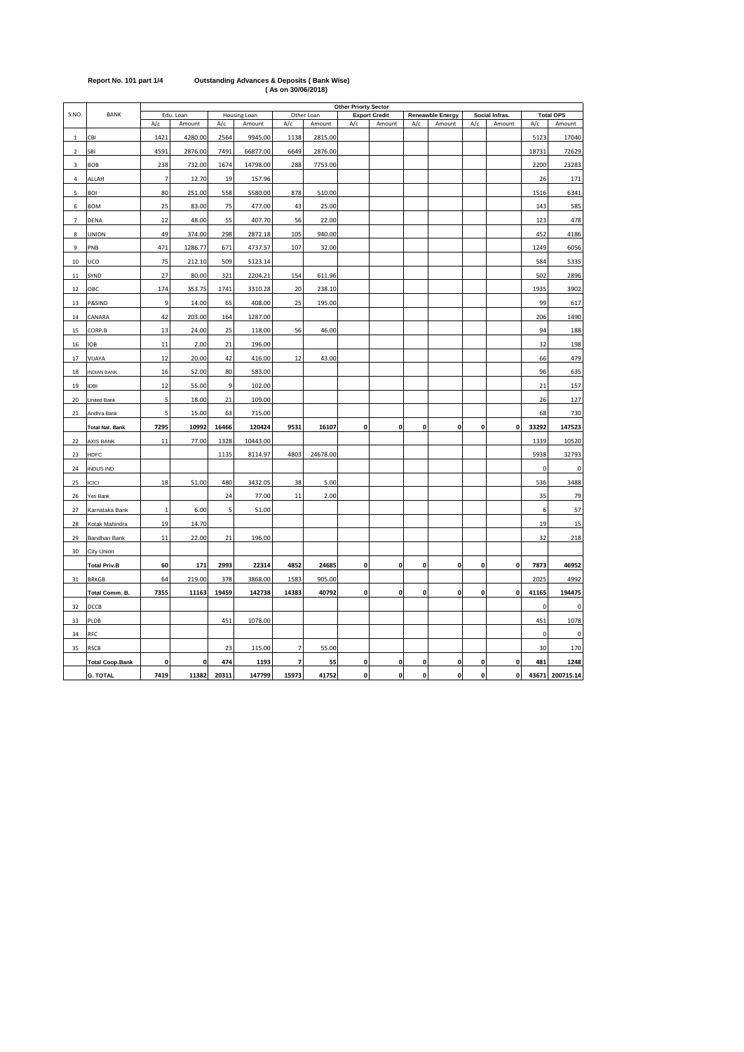|                |                        |                |             |       |              |                |            |                    | <b>Other Priorty Sector</b> |             |                  |             |                |             |                  |
|----------------|------------------------|----------------|-------------|-------|--------------|----------------|------------|--------------------|-----------------------------|-------------|------------------|-------------|----------------|-------------|------------------|
| S.NO.          | <b>BANK</b>            |                | Edu. Loan   |       | Housing Loan |                | Other Loan |                    | <b>Export Credit</b>        |             | Reneawble Energy |             | Social Infras. |             | <b>Total OPS</b> |
|                |                        | A/c            | Amount      | A/c   | Amount       | A/c            | Amount     | A/c                | Amount                      | A/c         | Amount           | A/c         | Amount         | A/c         | Amount           |
| $\mathbf{1}$   | CBI                    | 1421           | 4280.00     | 2564  | 9945.00      | 1138           | 2815.00    |                    |                             |             |                  |             |                | 5123        | 17040            |
| $\mathcal{P}$  | SBI                    | 4591           | 2876.00     | 7491  | 66877.00     | 6649           | 2876.00    |                    |                             |             |                  |             |                | 18731       | 72629            |
| 3              | BOB                    | 238            | 732.00      | 1674  | 14798.00     | 288            | 7753.00    |                    |                             |             |                  |             |                | 2200        | 23283            |
| 4              | ALLAH                  | $\overline{7}$ | 12.70       | 19    | 157.96       |                |            |                    |                             |             |                  |             |                | 26          | 171              |
| 5              | BOI                    | 80             | 251.00      | 558   | 5580.00      | 878            | 510.00     |                    |                             |             |                  |             |                | 1516        | 6341             |
| 6              | <b>BOM</b>             | 25             | 83.00       | 75    | 477.00       | 43             | 25.00      |                    |                             |             |                  |             |                | 143         | 585              |
| $\overline{7}$ | DENA                   | 12             | 48.00       | 55    | 407.70       | 56             | 22.00      |                    |                             |             |                  |             |                | 123         | 478              |
| 8              | UNION                  | 49             | 374.00      | 298   | 2872.18      | 105            | 940.00     |                    |                             |             |                  |             |                | 452         | 4186             |
| 9              | PNB                    | 471            | 1286.77     | 671   | 4737.57      | 107            | 32.00      |                    |                             |             |                  |             |                | 1249        | 6056             |
| $10\,$         | UCO                    | 75             | 212.10      | 509   | 5123.14      |                |            |                    |                             |             |                  |             |                | 584         | 5335             |
| 11             | SYND                   | 27             | 80.00       | 321   | 2204.21      | 154            | 611.96     |                    |                             |             |                  |             |                | 502         | 2896             |
| 12             | ОВС                    | 174            | 353.75      | 1741  | 3310.28      | 20             | 238.10     |                    |                             |             |                  |             |                | 1935        | 3902             |
| 13             | P&SIND                 | 9              | 14.00       | 65    | 408.00       | 25             | 195.00     |                    |                             |             |                  |             |                | 99          | 617              |
| 14             | CANARA                 | 42             | 203.00      | 164   | 1287.00      |                |            |                    |                             |             |                  |             |                | 206         | 1490             |
| 15             | CORP.B                 | 13             | 24.00       | 25    | 118.00       | 56             | 46.00      |                    |                             |             |                  |             |                | 94          | 188              |
| 16             | <b>IOB</b>             | 11             | 2.00        | 21    | 196.00       |                |            |                    |                             |             |                  |             |                | 32          | 198              |
| 17             | <b>NALIV</b>           | 12             | 20.00       | 42    | 416.00       | 12             | 43.00      |                    |                             |             |                  |             |                | 66          | 479              |
| 18             | <b>INDIAN BANK</b>     | 16             | 52.00       | 80    | 583.00       |                |            |                    |                             |             |                  |             |                | 96          | 635              |
| 19             | <b>IDBI</b>            | 12             | 55.00       | 9     | 102.00       |                |            |                    |                             |             |                  |             |                | 21          | 157              |
| 20             | United Bank            | 5              | 18.00       | 21    | 109.00       |                |            |                    |                             |             |                  |             |                | 26          | 127              |
| 21             | Andhra Bank            | 5              | 15.00       | 63    | 715.00       |                |            |                    |                             |             |                  |             |                | 68          | 730              |
|                | <b>Total Nat. Bank</b> | 7295           | 10992       | 16466 | 120424       | 9531           | 16107      | $\mathbf 0$        | $\mathbf{0}$                | 0           | 0                | 0           | $\pmb{0}$      | 33292       | 147523           |
| 22             | <b>AXIS BANK</b>       | 11             | 77.00       | 1328  | 10443.00     |                |            |                    |                             |             |                  |             |                | 1339        | 10520            |
| 23             | HDFC                   |                |             | 1135  | 8114.97      | 4803           | 24678.00   |                    |                             |             |                  |             |                | 5938        | 32793            |
| 24             | <b>INDUS IND</b>       |                |             |       |              |                |            |                    |                             |             |                  |             |                | 0           | 0                |
| 25             | <b>ICICI</b>           | 18             | 51.00       | 480   | 3432.05      | 38             | 5.00       |                    |                             |             |                  |             |                | 536         | 3488             |
| 26             | Yes Bank               |                |             | 24    | 77.00        | 11             | 2.00       |                    |                             |             |                  |             |                | 35          | 79               |
| 27             | Karnataka Bank         | $\overline{1}$ | 6.00        | 5     | 51.00        |                |            |                    |                             |             |                  |             |                | 6           | 57               |
| 28             | Kotak Mahindra         | 19             | 14.70       |       |              |                |            |                    |                             |             |                  |             |                | 19          | 15               |
| 29             | Bandhan Bank           | 11             | 22.00       | 21    | 196.00       |                |            |                    |                             |             |                  |             |                | 32          | 218              |
| 30             | City Union             |                |             |       |              |                |            |                    |                             |             |                  |             |                |             |                  |
|                | <b>Total Priv.B</b>    | 60             | 171         | 2993  | 22314        | 4852           | 24685      | 0                  | 0                           | 0           | $\mathbf 0$      | $\mathbf 0$ | 0              | 7873        | 46952            |
| 31             | <b>BRKGB</b>           | 64             | 219.00      | 378   | 3868.00      | 1583           | 905.00     |                    |                             |             |                  |             |                | 2025        | 4992             |
|                | Total Comm. B.         | 7355           | 11163       | 19459 | 142738       | 14383          | 40792      | $\pmb{\mathsf{o}}$ | $\mathbf 0$                 | $\mathbf 0$ | $\mathbf{0}$     | $\pmb{0}$   | $\pmb{0}$      | 41165       | 194475           |
| 32             | DCCB                   |                |             |       |              |                |            |                    |                             |             |                  |             |                | $\mathbf 0$ | 0                |
| 33             | PLDB                   |                |             | 451   | 1078.00      |                |            |                    |                             |             |                  |             |                | 451         | 1078             |
| 34             | RFC                    |                |             |       |              |                |            |                    |                             |             |                  |             |                | 0           | 0                |
| 35             | <b>RSCB</b>            |                |             | 23    | 115.00       | $\overline{7}$ | 55.00      |                    |                             |             |                  |             |                | 30          | 170              |
|                | <b>Total Coop.Bank</b> | 0              | $\mathbf 0$ | 474   | 1193         | $\overline{ }$ | 55         | 0                  | $\mathbf 0$                 | 0           | 0                | 0           | $\pmb{0}$      | 481         | 1248             |
|                | <b>G. TOTAL</b>        | 7419           | 11382       | 20311 | 147799       | 15973          | 41752      | $\pmb{\mathsf{o}}$ | $\mathbf{0}$                | 0           | 0                | 0           | $\mathbf 0$    | 43671       | 200715.14        |

## **Report No. 101 part 1/4 Outstanding Advances & Deposits ( Bank Wise) ( As on 30/06/2018)**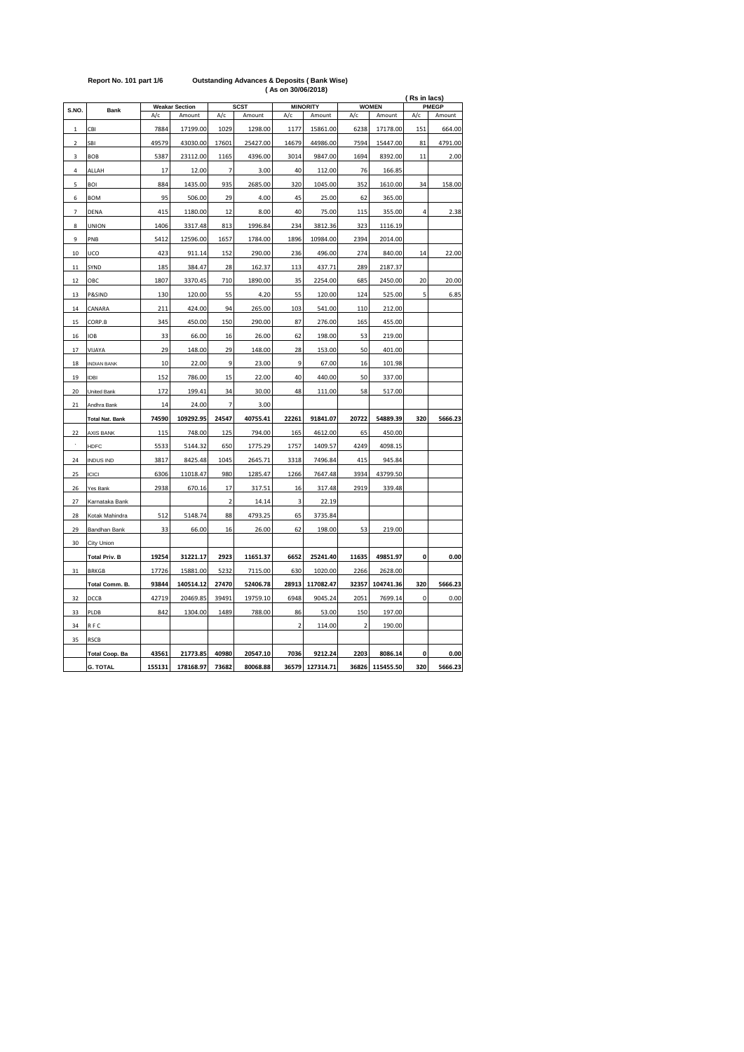| S.NO.          | Bank                   |                | <b>Weakar Section</b> | <b>SCST</b><br><b>MINORITY</b> |                      |                |                      | <b>WOMEN</b>   | (Rs in lacs)<br>PMEGP |             |         |
|----------------|------------------------|----------------|-----------------------|--------------------------------|----------------------|----------------|----------------------|----------------|-----------------------|-------------|---------|
|                | A/c<br>Amount          |                | A/c                   | Amount                         | A/c                  | Amount         | A/c                  | Amount         | A/c                   | Amount      |         |
| $\mathbf 1$    | CBI                    | 7884           | 17199.00              | 1029                           | 1298.00              | 1177           | 15861.00             | 6238           | 17178.00              | 151         | 664.00  |
| $\mathfrak{p}$ | SBI                    | 49579          | 43030.00              | 17601                          | 25427.00             | 14679          | 44986.00             | 7594           | 15447.00              | 81          | 4791.00 |
| 3              | <b>BOB</b>             | 5387           | 23112.00              | 1165                           | 4396.00              | 3014           | 9847.00              | 1694           | 8392.00               | 11          | 2.00    |
| 4              | ALLAH                  | 17             | 12.00                 | $\overline{7}$                 | 3.00                 | 40             | 112.00               | 76             | 166.85                |             |         |
| 5              | BOI                    | 884            | 1435.00               | 935                            | 2685.00              | 320            | 1045.00              | 352            | 1610.00               | 34          | 158.00  |
| 6              | <b>BOM</b>             | 95             | 506.00                | 29                             | 4.00                 | 45             | 25.00                | 62             | 365.00                |             |         |
| $\overline{7}$ | DENA                   | 415            | 1180.00               | 12                             | 8.00                 | 40             | 75.00                | 115            | 355.00                | 4           | 2.38    |
| 8              | UNION                  | 1406           | 3317.48               | 813                            | 1996.84              | 234            | 3812.36              | 323            | 1116.19               |             |         |
| 9              | PNB                    | 5412           | 12596.00              | 1657                           | 1784.00              | 1896           | 10984.00             | 2394           | 2014.00               |             |         |
| 10             | UCO                    | 423            | 911.14                | 152                            | 290.00               | 236            | 496.00               | 274            | 840.00                | 14          | 22.00   |
| 11             | SYND                   | 185            | 384.47                | 28                             | 162.37               | 113            | 437.71               | 289            | 2187.37               |             |         |
| 12             | OBC                    | 1807           | 3370.45               | 710                            | 1890.00              | 35             | 2254.00              | 685            | 2450.00               | 20          | 20.00   |
| 13             | P&SIND                 | 130            | 120.00                | 55                             | 4.20                 | 55             | 120.00               | 124            | 525.00                | 5           | 6.85    |
| 14             | CANARA                 | 211            | 424.00                | 94                             | 265.00               | 103            | 541.00               | 110            | 212.00                |             |         |
| 15             | CORP.B                 | 345            | 450.00                | 150                            | 290.00               | 87             | 276.00               | 165            | 455.00                |             |         |
| 16             | <b>IOB</b>             | 33             | 66.00                 | 16                             | 26.00                | 62             | 198.00               | 53             | 219.00                |             |         |
| 17             | VIJAYA                 | 29             | 148.00                | 29                             | 148.00               | 28             | 153.00               | 50             | 401.00                |             |         |
| 18             | <b>INDIAN BANK</b>     | 10             | 22.00                 | 9                              | 23.00                | 9              | 67.00                | 16             | 101.98                |             |         |
| 19             | <b>IDBI</b>            | 152            | 786.00                | 15                             | 22.00                | 40             | 440.00               | 50             | 337.00                |             |         |
| 20             | United Bank            | 172            | 199.41                | 34                             | 30.00                | 48             | 111.00               | 58             | 517.00                |             |         |
| 21             | Andhra Bank            | 14             | 24.00                 | $\overline{7}$                 | 3.00                 |                |                      |                |                       |             |         |
|                | <b>Total Nat. Bank</b> | 74590          | 109292.95             | 24547                          | 40755.41             | 22261          | 91841.07             | 20722          | 54889.39              | 320         | 5666.23 |
| 22             | <b>AXIS BANK</b>       | 115            | 748.00                | 125                            | 794.00               | 165            | 4612.00              | 65             | 450.00                |             |         |
| $\lambda$      | HDFC                   | 5533           | 5144.32               | 650                            | 1775.29              | 1757           | 1409.57              | 4249           | 4098.15               |             |         |
| 24             | <b>INDUS IND</b>       | 3817           | 8425.48               | 1045                           | 2645.71              | 3318           | 7496.84              | 415            | 945.84                |             |         |
| 25             | <b>ICICI</b>           | 6306           | 11018.47              | 980                            | 1285.47              | 1266           | 7647.48              | 3934           | 43799.50              |             |         |
| 26             | Yes Bank               | 2938           | 670.16                | 17                             | 317.51               | 16             | 317.48               | 2919           | 339.48                |             |         |
| 27             | Karnataka Bank         |                |                       | $\overline{2}$                 | 14.14                | 3              | 22.19                |                |                       |             |         |
| 28             | Kotak Mahindra         | 512            | 5148.74               | 88                             | 4793.25              | 65             | 3735.84              |                |                       |             |         |
| 29             | Bandhan Bank           | 33             | 66.00                 | 16                             | 26.00                | 62             | 198.00               | 53             | 219.00                |             |         |
| 30             | City Union             |                |                       |                                |                      |                |                      |                |                       |             |         |
|                |                        | 19254          | 31221.17              | 2923                           | 11651.37             | 6652           | 25241.40             |                | 49851.97              | 0           | 0.00    |
|                | <b>Total Priv. B</b>   |                |                       |                                |                      |                |                      | 11635          |                       |             |         |
| 31             | <b>BRKGB</b>           | 17726<br>93844 | 15881.00              | 5232<br>27470                  | 7115.00              | 630<br>28913   | 1020.00<br>117082.47 | 2266<br>32357  | 2628.00<br>104741.36  | 320         | 5666.23 |
|                | Total Comm. B.<br>DCCB | 42719          | 140514.12<br>20469.85 | 39491                          | 52406.78<br>19759.10 | 6948           | 9045.24              | 2051           | 7699.14               | $\mathbf 0$ |         |
| 32<br>33       | PLDB                   | 842            | 1304.00               | 1489                           | 788.00               | 86             | 53.00                | 150            | 197.00                |             | 0.00    |
|                |                        |                |                       |                                |                      |                |                      |                |                       |             |         |
| 34             | RFC                    |                |                       |                                |                      | $\overline{2}$ | 114.00               | $\overline{2}$ | 190.00                |             |         |
| 35             | <b>RSCB</b>            |                |                       |                                |                      |                |                      |                |                       |             |         |
|                | <b>Total Coop. Ba</b>  | 43561          | 21773.85              | 40980                          | 20547.10             | 7036           | 9212.24              | 2203           | 8086.14               | 0           | 0.00    |
|                | <b>G. TOTAL</b>        | 155131         | 178168.97             | 73682                          | 80068.88             |                | 36579 127314.71      |                | 36826 115455.50       | 320         | 5666.23 |

## **Report No. 101 part 1/6 Outstanding Advances & Deposits ( Bank Wise)**